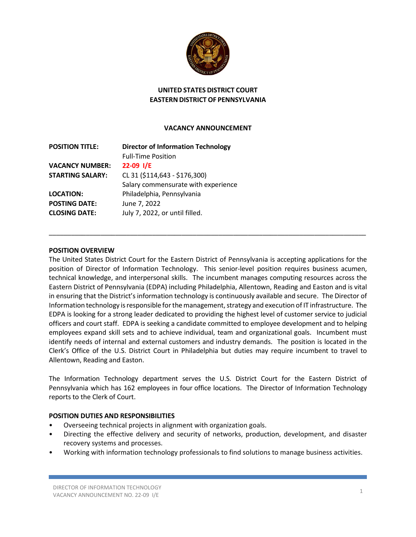

# **UNITED STATES DISTRICT COURT EASTERN DISTRICT OF PENNSYLVANIA**

## **VACANCY ANNOUNCEMENT**

| <b>POSITION TITLE:</b>  | <b>Director of Information Technology</b><br><b>Full-Time Position</b> |
|-------------------------|------------------------------------------------------------------------|
| <b>VACANCY NUMBER:</b>  | $22-09$ I/E                                                            |
| <b>STARTING SALARY:</b> | CL 31 (\$114,643 - \$176,300)                                          |
|                         | Salary commensurate with experience                                    |
| <b>LOCATION:</b>        | Philadelphia, Pennsylvania                                             |
| <b>POSTING DATE:</b>    | June 7, 2022                                                           |
| <b>CLOSING DATE:</b>    | July 7, 2022, or until filled.                                         |
|                         |                                                                        |

### **POSITION OVERVIEW**

The United States District Court for the Eastern District of Pennsylvania is accepting applications for the position of Director of Information Technology. This senior-level position requires business acumen, technical knowledge, and interpersonal skills. The incumbent manages computing resources across the Eastern District of Pennsylvania (EDPA) including Philadelphia, Allentown, Reading and Easton and is vital in ensuring that the District's information technology is continuously available and secure. The Director of Information technology is responsible for the management, strategy and execution of IT infrastructure. The EDPA is looking for a strong leader dedicated to providing the highest level of customer service to judicial officers and court staff. EDPA is seeking a candidate committed to employee development and to helping employees expand skill sets and to achieve individual, team and organizational goals. Incumbent must identify needs of internal and external customers and industry demands. The position is located in the Clerk's Office of the U.S. District Court in Philadelphia but duties may require incumbent to travel to Allentown, Reading and Easton.

\_\_\_\_\_\_\_\_\_\_\_\_\_\_\_\_\_\_\_\_\_\_\_\_\_\_\_\_\_\_\_\_\_\_\_\_\_\_\_\_\_\_\_\_\_\_\_\_\_\_\_\_\_\_\_\_\_\_\_\_\_\_\_\_\_\_\_\_\_\_\_\_\_\_\_\_\_\_\_\_\_\_\_\_\_\_

The Information Technology department serves the U.S. District Court for the Eastern District of Pennsylvania which has 162 employees in four office locations. The Director of Information Technology reports to the Clerk of Court.

### **POSITION DUTIES AND RESPONSIBILITIES**

- Overseeing technical projects in alignment with organization goals.
- Directing the effective delivery and security of networks, production, development, and disaster recovery systems and processes.
- Working with information technology professionals to find solutions to manage business activities.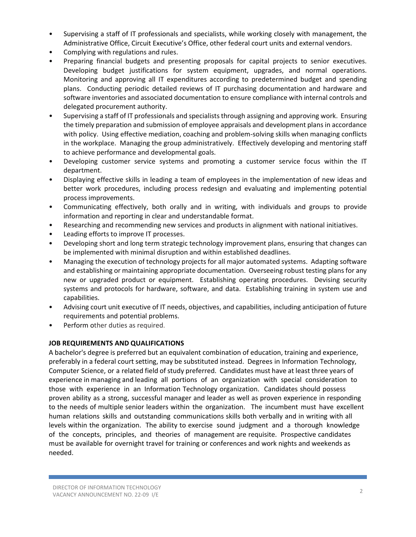- Supervising a staff of IT professionals and specialists, while working closely with management, the Administrative Office, Circuit Executive's Office, other federal court units and external vendors.
- Complying with regulations and rules.
- Preparing financial budgets and presenting proposals for capital projects to senior executives. Developing budget justifications for system equipment, upgrades, and normal operations. Monitoring and approving all IT expenditures according to predetermined budget and spending plans. Conducting periodic detailed reviews of IT purchasing documentation and hardware and software inventories and associated documentation to ensure compliance with internal controls and delegated procurement authority.
- Supervising a staff of IT professionals and specialists through assigning and approving work. Ensuring the timely preparation and submission of employee appraisals and development plans in accordance with policy. Using effective mediation, coaching and problem-solving skills when managing conflicts in the workplace. Managing the group administratively. Effectively developing and mentoring staff to achieve performance and developmental goals.
- Developing customer service systems and promoting a customer service focus within the IT department.
- Displaying effective skills in leading a team of employees in the implementation of new ideas and better work procedures, including process redesign and evaluating and implementing potential process improvements.
- Communicating effectively, both orally and in writing, with individuals and groups to provide information and reporting in clear and understandable format.
- Researching and recommending new services and products in alignment with national initiatives.
- Leading efforts to improve IT processes.
- Developing short and long term strategic technology improvement plans, ensuring that changes can be implemented with minimal disruption and within established deadlines.
- Managing the execution of technology projects for all major automated systems. Adapting software and establishing or maintaining appropriate documentation. Overseeing robust testing plans for any new or upgraded product or equipment. Establishing operating procedures. Devising security systems and protocols for hardware, software, and data. Establishing training in system use and capabilities.
- Advising court unit executive of IT needs, objectives, and capabilities, including anticipation of future requirements and potential problems.
- Perform other duties as required.

# **JOB REQUIREMENTS AND QUALIFICATIONS**

A bachelor's degree is preferred but an equivalent combination of education, training and experience, preferably in a federal court setting, may be substituted instead. Degrees in Information Technology, Computer Science, or a related field of study preferred. Candidates must have at least three years of experience in managing and leading all portions of an organization with special consideration to those with experience in an Information Technology organization. Candidates should possess proven ability as a strong, successful manager and leader as well as proven experience in responding to the needs of multiple senior leaders within the organization. The incumbent must have excellent human relations skills and outstanding communications skills both verbally and in writing with all levels within the organization. The ability to exercise sound judgment and a thorough knowledge of the concepts, principles, and theories of management are requisite. Prospective candidates must be available for overnight travel for training or conferences and work nights and weekends as needed.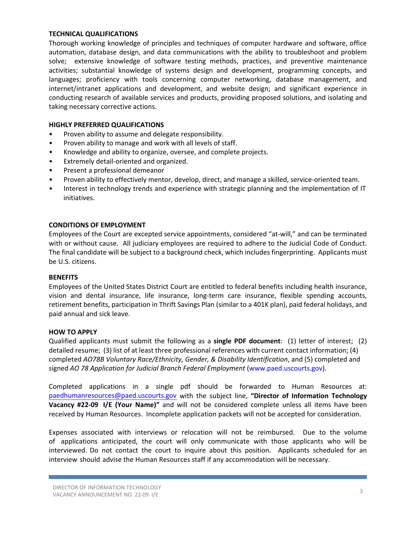#### **TECHNICAL QUALIFICATIONS**

Thorough working knowledge of principles and techniques of computer hardware and software, office automation, database design, and data communications with the ability to troubleshoot and problem solve; extensive knowledge of software testing methods, practices, and preventive maintenance activities; substantial knowledge of systems design and development, programming concepts, and languages; proficiency with tools concerning computer networking, database management, and internet/intranet applications and development, and website design; and significant experience in conducting research of available services and products, providing proposed solutions, and isolating and taking necessary corrective actions.

#### **HIGHLY PREFERRED QUALIFICATIONS**

- Proven ability to assume and delegate responsibility.
- Proven ability to manage and work with all levels of staff.
- Knowledge and ability to organize, oversee, and complete projects.
- Extremely detail-oriented and organized.
- Present a professional demeanor
- Proven ability to effectively mentor, develop, direct, and manage a skilled, service-oriented team.
- Interest in technology trends and experience with strategic planning and the implementation of IT initiatives.

#### **CONDITIONS OF EMPLOYMENT**

Employees of the Court are excepted service appointments, considered "at-will," and can be terminated with or without cause. All judiciary employees are required to adhere to the Judicial Code of Conduct. The final candidate will be subject to a background check, which includes fingerprinting. Applicants must be U.S. citizens.

#### **BENEFITS**

Employees of the United States District Court are entitled to federal benefits including health insurance, vision and dental insurance, life insurance, long-term care insurance, flexible spending accounts, retirement benefits, participation in Thrift Savings Plan (similar to a 401K plan), paid federal holidays, and paid annual and sick leave.

#### **HOW TO APPLY**

Qualified applicants must submit the following as a **single PDF document**: (1) letter of interest; (2) detailed resume; (3) list of at least three professional references with current contact information; (4) completed *AO78B Voluntary Race/Ethnicity, Gender, & Disability Identification*, and (5) completed and signed *AO 78 Application for Judicial Branch Federal Employment* (www.paed.uscourts.gov).

Completed applications in a single pdf should be forwarded to Human Resources at: [paedhumanresources@paed.uscourts.gov](mailto:paedhumanresources@paed.uscourts.gov) with the subject line, **"Director of Information Technology Vacancy #22-09 I/E (Your Name)"** and will not be considered complete unless all items have been received by Human Resources. Incomplete application packets will not be accepted for consideration.

Expenses associated with interviews or relocation will not be reimbursed. Due to the volume of applications anticipated, the court will only communicate with those applicants who will be interviewed. Do not contact the court to inquire about this position. Applicants scheduled for an interview should advise the Human Resources staff if any accommodation will be necessary.